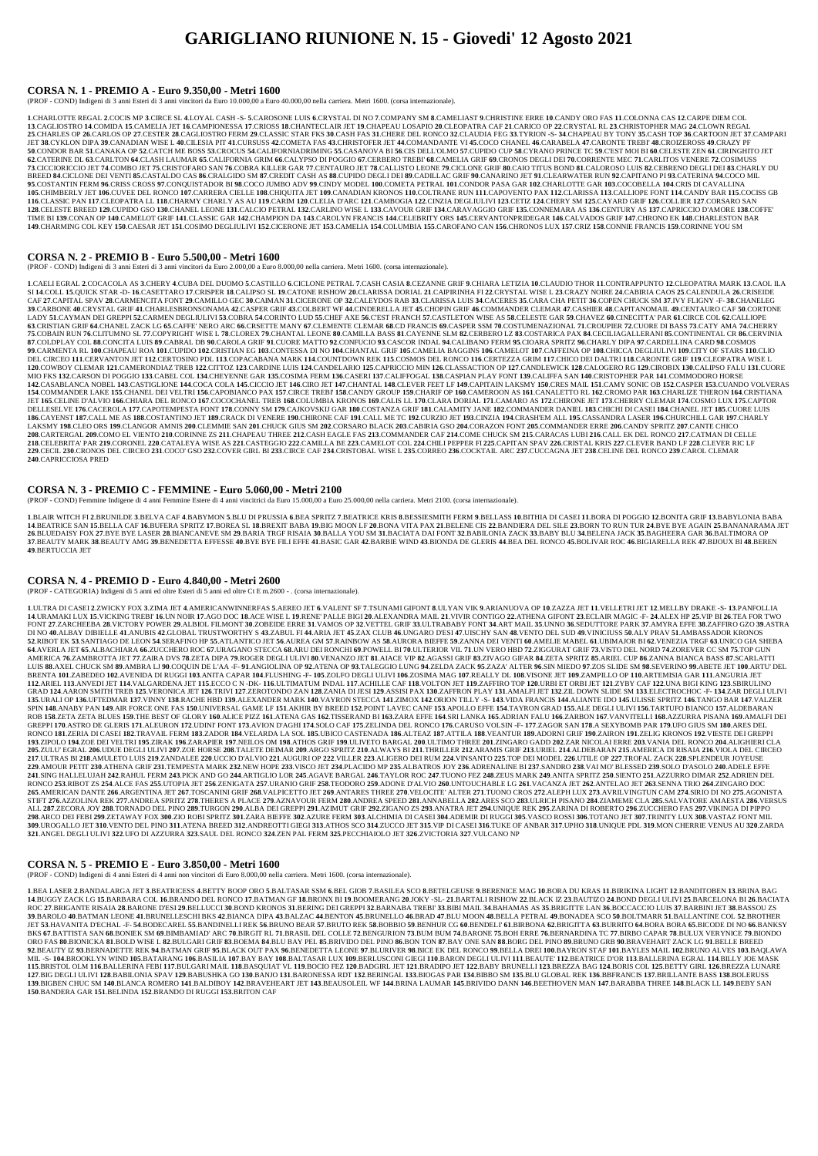# **GARIGLIANO RIUNIONE N. 15 - Giovedi' 12 Agosto 2021**

#### **CORSA N. 1 - PREMIO A - Euro 9.350,00 - Metri 1600**

(PROF - COND) Indigeni di 3 anni Esteri di 3 anni vincitori da Euro 10.000,00 a Euro 40.000,00 nella carriera. Metri 1600. (corsa internazionale).

1. CHARLOTTE REGAL 2.COCIS MP 3.CIRCE SL 4.LOYAL CASH -S- 5.CAROSONE LUIS 6.CRYSTAL DI NO 7.COMPANY SM 8.CAMELIAST 9.CHRISTINE ERRE 10.CANDY ORO FAS 11.COLONNA CAS 12.CARPE DIEM COL 13. CAGLIOSTRO 14. COMIDA 15. CAMELIA JET 16. CAMPIONESSA 17. CRIOSS 18. CHANTECLAIR JET 19. CHAPEAU LOSAPIO 20. CLEOPATRA CAF 21. CARICO OP 22. CRYSTAL RL 23. CHRISTOPHER MAG 24. CLOWN REGAL 25. CHARLES OP 26. CARLOS OP 27. CESTER 28. CAGLIOSTRO FERM 29. CLASSIC STAR FKS 30. CASH FAS 31. CHERE DEL RONCO 32. CLAUDIA FEG 33. TYRION -S- 34. CHAPEAU BY TONY 35. CASH TOP 36. CARTOON JET 37. CAMPARI JET 38.CYKLON DIPA 39.CANADIAN WISE L 40.CILESIA PIT 41.CURSUSS 42.COMETA FAS 43.CHRISTOFER JET 44.COMANDANTE VI 45.COCO CHANEL 46.CARABELA 47.CARONTE TREBI' 48.CROIZEROSS 49.CRAZY PF 50.CONDOR BAR 51.CANAKA OP 52.CATCH ME BOSS 53.CROCUS 54.CALIFORNIADRIMING 55.CASANOVA BI 56.CIS DELL'OLMO 57.CUPIDO CUP 58.CYRANO PRINCE TC 59.C'EST MOI BI 60.CELESTE ZEN 61.CIRINGHITO JET 62. CATERINE DL 63. CARLTON 64. CLASH LAUMAR 65. CALIFORNIA GRIM 66. CALYPSO DI POGGIO 67. CERBERO TREBI' 68. CAMELIA GRIF 69. CRONOS DEGLI DEI 70. CORRENTE MEC 71. CARLITOS VENERE 72. COSIMUSS 73. CICCIORICCIO JET 74.COMBO JET 75.CRISTOFARO SAN 76.COBRA KILLER GAR 77.CENTAURO JET 78.CALLISTO LEONE 79.CICLONE GRIF 80.CAIO TITUS BOND 81.CALOROSO LUIS 82.CEBRENO DEGLI DEI 83.CHARLY DU BREED 84.CICLONE DEI VENTI 85.CASTALDO CAS 86.CRALGIDO SM 87.CREDIT CASH AS 88.CUPIDO DEGLI DEI 89.CADILLAC GRIF 90.CANARINO JET 91.CLEARWATER RUN 92.CAPITANO PI 93.CATERINA 94.COCO MIL 95.COSTANTIN FERM 96.CRISS CROSS 97.CONQUISTADOR BI 98.COCO JUMBO ADV 99.CINDY MODEL 100.COMETA PETRAL 101.CONDOR PASA GAR 102.CHARLOTTE GAR 103.COCOBELLA 104.CRIS DI CAVALLINA 105.CHIMBERLY JET 106.CUVEE DEL RONCO 107.CARRERA CIELLE 108.CHIOUITA JET 109.CANADIAN KRONOS 110.COLTRANE RUN 111.CAPOVENTO PAX 112.CLARISSA 113.CALLIOPE FONT 114.CANDY BAR 115.COCISS GB 116.CLASSIC PAN 117.CLEOPATRA LL 118.CHARMY CHARLY AS AU 119.CARM 120.CLELIA D'ARC 121.CAMBOGIA 122.CINZIA DEGLIULIVI 123.CETIZ 124.CHERY SM 125.CAYARD GRIF 126.COLLIER 127.CORSARO SAN 128.CELESTE BREED 129.CUPIDO GSO 130.CHANEL LEONE 131.CALCIO PETRAL 132.CARLINO WISE L 133.CAVOUR GRIF 134.CARAVAGGIO GRIF 135.CONNEMARA AS 136.CENTURY AS 137.CAPRICCIO D'AMORE 138.COFFE' TIME BI 139.CONAN OP 140.CAMELOT GRIF 141.CLASSIC GAR 142.CHAMPION DA 143.CAROLYN FRANCIS 144.CELEBRITY ORS 145.CERVANTONPRIDEGAR 146.CALVADOS GRIF 147.CHRONO EK 148.CHARLESTON BAR 149.CHARMING COL KEY 150.CAESAR JET 151.COSIMO DEGLIULIVI 152.CICERONE JET 153.CAMELIA 154.COLUMBIA 155.CAROFANO CAN 156.CHRONOS LUX 157.CRIZ 158.CONNIE FRANCIS 159.CORINNE YOU SM

#### **CORSA N. 2 - PREMIO B - Euro 5.500,00 - Metri 1600**

(PROF - COND) Indigeni di 3 anni Esteri di 3 anni vincitori da Euro 2.000,00 a Euro 8.000,00 nella carriera. Metri 1600. (corsa internazionale).

1.CAELI EGRAL 2.COCACOLA AS 3.CHERY 4.CUBA DEL DUOMO 5.CASTILLO 6.CICLONE PETRAL 7.CASH CASIA 8.CEZANNE GRIF 9.CHIARA LETIZIA 10.CLAUDIO THOR 11.CONTRAPPUNTO 12.CLEOPATRA MARK 13.CAOL ILA SI 14.COLL 15.QUICK STAR -D- 16.CASETTARO 17.CRISPER 18.CALIPSO SL 19.CATONE RISHOW 20.CLARISSA DORIAL 21.CAIPIRINHA FI 22.CRYSTAL WISE L 23.CRAZY NOIRE 24.CABIRIA CAOS 25.CALENDULA 26.CRISEIDE CAF 27. CAPITAL SPAV 28. CARMENCITA FONT 29. CAMILLO GEC 30. CAIMAN 31. CICERONE OP 32. CALEYDOS RAB 33. CLARISSA LUIS 34. CACERES 35. CARA CHA PETIT 36. COPEN CHUCK SM 37.IVY FLIGNY -F-38. CHANELEG 39. CARBONE 40.CRYSTAL GRIF 41. CHARLESBRONSONAMA 42. CASPER GRIF 43. COLBERT WF 44. CINDERELLA JET 45. CHOPIN GRIF 46. COMMANDER CLEMAR 47. CASHIER 48. CAPITANOMAIL 49. CENTAURO CAF 50. CORTONE LADY 51.CAYMAN DEI GREPPI 52.CARMEN DEGLIULIVI 53.COBRA 54.CORINTO LUD 55.CHEF AXE 56.C'EST FRANCH 57.CASTLETON WISE AS 58.CELESTE GAR 59.CHAVEZ 60.CINECITTA' PAR 61.CIRCE COL 62.CALLIOPE 63.CRISTIAN GRIF 64.CHANEL ZACK LG 65.CAFFE' NERO ARC 66.CRSETTE MANY 67.CLEMENTE CLEMAR 68.CD FRANCIS 69.CASPER SSM 70.COSTUMENAZIONAL 71.CROUPIER 72.CUORE DI BASS 73.CATY AMA 74.CHERRY 75.COBAIN RUN 76.CLITUMNO SL 77.COPYRIGHT WISE L 78.CLOREX 79.CHANTAL LEONE 80.CAMILLA BASS 81.CAYENNE SLM 82.CERBERO LZ 83.COSTARICA PAX 84.CECILIAGALLERANI 85.CONTINENTAL CR 86.CERVINIA 87.COLDPLAY COL 88.CONCITA LUIS 89.CABRAL DB 90.CAROLA GRIF 91.CUORE MATTO 92.CONFUCIO 93.CASCOR INDAL 94.CALIBANO FERM 95.CIOARA SPRITZ 96.CHARLY DIPA 97.CARDELLINA CARD 98.COSMOS 99.CARMENTA RL 100.CHAPEAU ROA 101.CUPIDO 102.CRISTIAN EG 103.CONTESSA DI NO 104.CHANTAL GRIF 105.CAMELIA BAGGINS 106.CAMELOT 107.CAFFEINA OP 108.CHICCA DEGLIULIVI 109.CITY OF STARS 110.CLIO DEL CIRCEO 111.CERVANTON JET 112.CERTOSINO PDL 113.COPACABANA MARK 114.COUNTDOWN REK 115.COSMOS DEL RONCO 116.CERTEZZA GRIM 117.CHICO DEI DALTRI 118.CARONTE GRIF 119.CLEOPATRA WISE L 120.COWBOY CLEMAR 121.CAMERONDIAZ TREB 122.CITTOZ 123.CARDINE LUIS 124.CANDELARIO 125.CAPRICCIO MIN 126.CLASSACTION OP 127.CANDLEWICK 128.CALOGERO RG 129.CIROBIX 130.CALIPSO FALU 131.CUORE MIO FKS 132.CARSON DI POGGIO 133.CABEL COL 134.CHEYENNE GAR 135.COSIMA FERM 136.CASERI 137.CALIFFOGAL 138.CASPIAN PLAY FONT 139.CALIFFA SAN 140.CRISTOPHER PAR 141.COMMODORO HORSE 142.CASABLANCA NOBEL 143.CASTIGLIONE 144.COCA COLA 145.CICCIO JET 146.CIRO JET 147.CHANTAL 148.CLEVER FEET LF 149.CAPITAIN LAKSMY 150.CRES MAIL 151.CAMY SONIC OB 152.CASPER 153.CUANDO VOLVERAS 154.COMMANDER LAKE 155.CHANEL DEI VELTRI 156.CAPOBIANCO PAX 157.CIRCE TREBI 158.CANDY GROUP 159.CHARIF OP 160.CAMEROON AS 161.CANALETTO RL 162.CROMO PAR 163.CHARLIZE THERON 164.CRISTIANA JET 165.CELINE D'ALVIO 166.CHIARA DEL RONCO 167.COCOCHANEL TREB 168.COLUMBIA KRONOS 169.CALIS LL 170.CLARA DORIAL 171.CAMARO AS 172.CHIRONE JET 173.CHERRY CLEMAR 174.COSMO LUX 175.CAPTOR DELLESELVE 176.CACEROLA 177.CAPOTEMPESTA FONT 178.CONNY SM 179.CAJKOVSKIJ GAR 180.COSTANZA GRIF 181.CALAMITY JANE 182.COMMANDER DANIEL 183.CHICHI DI CASEI 184.CHANEL JET 185.CUORE LUIS 186.CAYENST 187.CALL ME AS 188.COSTANTINO JET 189.CRACK DI VENERE 190.CHIRONE CAF 191.CALL ME TC 192.CURZIO JET 193.CINZIA 194.CRASHEM ALL 195.CASSANDRA LASER 196.CHURCHILL GAR 197.CHARLY LAKSMY 198.CLEO ORS 199.CLANGOR AMNIS 200.CLEMMIE SAN 201.CHUCK GIUS SM 202.CORSARO BLACK 203.CABIRIA GSO 204.CORAZON FONT 205.COMMANDER ERRE 206.CANDY SPRITZ 207.CANTE CHICO 208.CARTERGAL 209.COMO EL VIENTO 210.CORINNE ZS 211.CHAPEAU THREE 212.CASH EAGLE FAS 213.COMMANDER CAF 214.COME CHUCK SM 215.CARACAS LUBI 216.CALL EK DEL RONCO 217.CATMAN DI CELLE 218.CELEBRITA' PAR 219.CORONEL 220.CATALEYA WISE AS 221.CASTEGGIO 222.CAMILLA BE 223.CAMELOT COL 224.CHILI PEPPER FI 225.CAPITAN SPAV 226.CRISTAL KRIS 227.CLEVER BAND LF 228.CLEVER RIC LF 229.CECIL 230.CRONOS DEL CIRCEO 231.COCO' GSO 232.COVER GIRL BI 233.CIRCE CAF 234.CRISTOBAL WISE L 235.CORREO 236.COCKTAIL ARC 237.CUCCAGNA JET 238.CELINE DEL RONCO 239.CAROL CLEMAR **240**.CAPRICCIOSA PRED

1.BLAIR WITCH FI 2.BRUNILDE 3.BELVA CAF 4.BABYMON 5.BLU DI PRUSSIA 6.BEA SPRITZ 7.BEATRICE KRIS 8.BESSIESMITH FERM 9.BELLASS 10.BITHIA DI CASEI 11.BORA DI POGGIO 12.BONITA GRIF 13.BABYLONIA BABA 14.BEATRICE SAN 15.BELLA CAF 16.BUFERA SPRITZ 17.BOREA SL 18.BREXIT BABA 19.BIG MOON LF 20.BONA VITA PAX 21.BELENE CIS 22.BANDIERA DEL SILE 23.BORN TO RUN TUR 24.BYE BYE AGAIN 25.BANANARAMA JET 26.BLUEDAISY FOX 27.BYE BYE LASER 28.BIANCANEVE SM 29.BARIA TRGF RISAIA 30.BALLA YOU SM 31.BACIATA DAI FONT 32.BABILONIA ZACK 33.BABY BLU 34.BELENA JACK 35.BAGHEERA GAR 36.BALTIMORA OP 37.BEAUTY MARK 38.BEAUTY AMG 39.BENEDETTA EFFESSE 40.BYE BYE FILI EFFE 41.BASIC GAR 42.BARBIE WIND 43.BIONDA DE GLERIS 44.BEA DEL RONCO 45.BOLIVAR ROC 46.BIGIARELLA REK 47.BIJOUX BI 48.BEREN **49**.BERTUCCIA JET

1.ULTRA DI CASEI 2.ZWICKY FOX 3.ZIMA JET 4.AMERICANWINNERFAS 5.AEREO JET 6.VALENT SF 7.TSUNAMI GIFONT 8.ULYAN VIK 9.ARIANUOVA OP 10.ZAZZA JET 11.VELLETRI JET 12.MELLBY DRAKE -S-13.PANFOLLIA 14. URAMAKI LUX 15. VICKING TREBI' 16. UN NOIR 17. AGO DOC 18. ACE WISE L 19. RENE' PALLE BIGI 20. ALEXANDRA MAIL 21. VIVIR CONTIGO 22. ATHENA GIFONT 23.ECLAIR MAGIC -F-24. ALEX HP 25. VIP BI 26. TEA FOR TWO FONT 27.ZARCHEEBA 28.VICTORY POWER 29.ALBIOL FILMONT 30.ZOBEIDE ERRE 31.VAMOS OP 32.VETTEL GRIF 33.ULTRABABY FONT 34.ART MAIL 35.UNNO 36.SEDUTTORE PARK 37.AMYRA EFFE 38.ZAFFIRO GZO 39.ASTRA DI NO 40.ALBAY DIBIELLE 41.ANUBIS 42.GLOBAL TRUSTWORTHY S 43.ZABUL FI 44.ARIA JET 45.ZAX CLUB 46.UNGARO D'ESI 47.UISCHY SAN 48.VENTO DEL SUD 49.VINICIUSS 50.ALY PRAV 51.AMBASSADOR KRONOS 52.RIBOT EK 53.SANTIAGO DE LEON 54.SERAFINO HP 55.ATLANTICO JET 56.AUREA GM 57.RAINBOW AS 58.AURORA BIEFFE 59.ZANNA DEI VENTI 60.AMELIE MABEL 61.UBIMAJOR BI 62.VENEZIA TRGF 63.UNICO GIA SHEBA 64.AVERLA JET 65.ALBACHIARA 66.ZUCCHERO ROC 67.URAGANO STECCA 68.ARU DEI RONCHI 69.POWELL BI 70.ULTERIOR VIL 71.UN VERO HBD 72.ZIGGURAT GRIF 73.VISTO DEL NORD 74.ZOREVER CC SM 75.TOP GUN AMERICA 76.ZAMBROTTA JET 77.ZAIRA DVS 78.ZETA DIPA 79.ROGER DEGLI ULIVI 80.VENANZO JET 81.AIACE VIP 82.AGASSI GRIF 83.ZIVAGO GIFAR 84.ZETA SPRITZ 85.ARIEL CUP 86.ZANNA BIANCA BASS 87.SCARLATTI LUIS 88.AXEL CHUCK SM 89.AMBRA LJ 90.COQUIN DE L'AA -F- 91.ANGIOLINA OP 92.ATENA OP 93.TALEGGIO LUNG 94.ZELDA ZACK 95.ZAZA' ALTER 96.SIN MIEDO 97.ZOS SLIDE SM 98.SEVERINO 99.ABETE JET 100.ARTU' DEL BRENTA 101.ZABEDEO 102.AVENIDA DI RUGGI 103.ANITA CAPAR 104.FLUSHING -F- 105.ZOLFO DEGLI ULIVI 106.ZOSIMA MAG 107.REALLY DL 108.VISONE JET 109.ZAMPILLO OP 110.ARTEMISIA GAR 111.ANGURIA JET 112.ARIEL 113.ANVEDI JET 114.VALGARDENA JET 115.ECCO C N -DK- 116.ULTIMATUM INDAL 117.ACHILLE CAF 118.VOLTON JET 119.ZAFFIRO TOP 120.URBI ET ORBI JET 121.ZYBY CAF 122.UNA BIGI KING 123.SBIRULINO GRAD 124.AARON SMITH TREB 125.VERONICA JET 126.TRIVI 127.ZEROTONDO ZAN 128.ZANIA DI JESI 129.ASSISI PAX 130.ZAFFRON PLAY 131.AMALFI JET 132.ZIL DOWN SLIDE SM 133.ELECTROCHOC -F- 134.ZAR DEGLI ULIVI 135.URALI OP 136.UFTEDMAR 137.VINNY 138.RACHE HBD 139.ALEXANDER MARK 140.VAYRON STECCA 141.ZIMOX 142.ORION TILLY -S- 143.VIDA FRANCIS 144.ALIANTE IDO 145.ULISSE SPRITZ 146.TANGO BAR 147.VALZER SPIN 148.ANABY PAN 149.AIR FORCE ONE FAS 150.UNIVERSAL GAME LF 151.AKHIR BY BREED 152.POINT LAVEC CANF 153.APOLLO EFFE 154.TAYRON GRAD 155.ALE DEGLI ULIVI 156.TARTUFO BIANCO 157.ALDEBARAN ROB 158.ZETA ZETA BLUES 159.THE BEST OF GLORY 160.ALICE PIZZ 161.ATENA GAS 162.TISSERAND B1163.ZARA EFFE 164.SRI LANKA 165.ADRIAN FALU 166.ZARBON 167.VANVITELLI 168.AZZURRA PISANA 169.AMALFI DEI GREPPI 170.ASTRO DE GLERIS 171.ALEURON 172.UDINI FONT 173.AVION D'AGHI 174.SOLO CAF 175.ZELINDA DEL RONCO 176.CARUSO VOLSIN -F-177.ZAGOR SAN 178.A SEXYBOMB PAR 179.UFO GIUS SM 180.ARES DEL RONCO 181.ZERIA DI CASEI 182.TRAVAIL FERM 183.ZADOR 184.VELARDA LA SOL 185.UBICO CASTENADA 186.ALTEAZ 187.ATTILA 188.VEANTUR 189.ADORNI GRIF 190.ZAIRON 191.ZELIG KRONOS 192.VIESTE DEI GREPPI 193.ZIPOLO 194.ZOE DEI VELTRI 195.ZIRAK 196.ZARAPIER 197.NEILOS OM 198.ATHOS GRIF 199.ULIVETO BARGAL 200.ULTIMO THREE 201.ZINGARO GADD 202.ZAR NICOLAI ERRE 203.VANIA DEL RONCO 204.ALIGHIERI CLA 205.ZULU'EGRAL 206.UDUE DEGLI ULIVI 207.ZOE HORSE 208.TALETE DEIMAR 209.ARGO SPRITZ 210.ALWAYS BI 211.THRILLER 212.ARAMIS GRIF 213.URIEL 214.ALDEBARAN 215.AMERICA DI RISAIA 216.VIOLA DEL CIRCEO 217.ULTRAS BI 218.AMULETO LUIS 219.ZANDALEE 220.UCCIO D'ALVIO 221.AUGURI OP 222.VILLER 223.ALIGERO DEI RUM 224.VINSANTO 225.TOP DEI MODEL 226.UTILE OP 227.TROFAL ZACK 228.SPLENDEUR JOYEUSE 229.AMOUR PETIT 230.ATHENA GRIF 231.TEMPESTA MARK 232.NEW HOPE 233.VISCO JET 234.PLACIDO MP 235.ALBATROS JOY 236.ADRENALINE BI 237.SANDRO 238.VAI MO' BLESSED 239.SOLO D'ASOLO 240.ADELE EFFE 241.SING HALLELUJAH 242.RAHUL FERM 243.PICK AND GO 244.ARTIGLIO LOR 245.AGAVE BARGAL 246.TAYLOR ROC 247.TUONO FEZ 248.ZEUS MARK 249.ANITA SPRITZ 250.SIENTO 251.AZZURRO DIMAR 252.ADRIEN DEL RONCO 253.RIBOT ZS 254.ALCE FAS 255.UTOPIA JET 256.ZENIGATA 257.URANIO GRIF 258.TEODORO 259.ADONE D'ALVIO 260.UNTOUCHABLE LG 261.VACANZA JET 262.ANTELAO JET 263.SENNA TRIO 264.ZINGARO DOC 265.AMERICAN DANTE 266.ARGENTINA JET 267.TOSCANINI GRIF 268.VALPICETTO JET 269.ANTARES THREE 270.VELOCITE' ALTER 271.TUONO CROS 272.ALEPH LUX 273.AVRILVINGTUN CAM 274.SIRIO DI NO 275.AGONISTA STIFT 276.AZZOLINA REK 277.ANDREA SPRITZ 278.THERE'S A PLACE 279.AZNAVOUR FERM 280.ANDREA SPEED 281.ANNABELLA 282.ARES SCO 283.ULRICH PISANO 284.ZIAMEME CLA 285.SALVATORE AMAESTA 286.VERSUS ALL 287.ZECORA JOY 288.TORNADO DEL PINO 289.TURGON 290.ALBA DEI GREPPI 291.AZIMUT GRIF 292.ZIGANO ZS 293.ANATRA JET 294.UNIQUE REK 295.ZARINA DI ROBERTO 296.ZUCCHERO FAS 297.VIKINGA DI PIPPO 298.ARCO DEI FEBI 299.ZETAWAY FOX 300.ZIO ROBI SPRITZ 301.ZARA BIEFFE 302.AZURE FERM 303.ALCHIMIA DI CASEI 304.ADEMIR DI RUGGI 305.VASCO ROSSI 306.TOTANO JET 307.TRINITY LUX 308.VASTAZ FONT MIL 309.UROGALLO JET 310.VENTO DEL PINO 311.ATENA BREED 312.ANDREOTTI GIEGI 313.ATHOS SCO 314.ZUCCO JET 315.VIP DI CASEI 316.TUKE OF ANBAR 317.UPHO 318.UNIQUE PDL 319.MON CHERRIE VENUS AU 320.ZARDA **321**.ANGEL DEGLI ULIVI **322**.UFO DI AZZURRA **323**.SAUL DEL RONCO **324**.ZEN PAL FERM **325**.PECCHIAIOLO JET **326**.ZVICTORIA **327**.VULCANO NP

#### **CORSA N. 3 - PREMIO C - FEMMINE - Euro 5.060,00 - Metri 2100**

(PROF - COND) Femmine Indigene di 4 anni Femmine Estere di 4 anni vincitrici da Euro 15.000,00 a Euro 25.000,00 nella carriera. Metri 2100. (corsa internazionale).

1.BEA LASER 2.BANDALARGA JET 3.BEATRICESS 4.BETTY BOOP ORO 5.BALTASAR SSM 6.BEL GIOB 7.BASILEA SCO 8.BETELGEUSE 9.BERENICE MAG 10.BORA DU KRAS 11.BIRIKINA LIGHT 12.BANDITOBEN 13.BRINA BAG 14.BUGGY ZACK LG 15.BARBARA COL 16.BRANDO DEL RONCO 17.BATMAN GF 18.BRONX BI 19.BOOMERANG 20.JOKY -SL- 21.BARTALI RISHOW 22.BLACK IZ 23.BAUTIZO 24.BOND DEGLI ULIVI 25.BARCELONA BI 26.BACIATA ROC 27.BRIGANTE RISAIA 28.BARONE D'ESI 29.BELLUCCI 30.BOND KRONOS 31.BERING DEI GREPPI 32.BARNABA TREBI 33.BIBI MAIL 34.BAHAMAS AS 35.BRIGITTE LAN 36.BOCCACCIO LUIS 37.BARBINI JET 38.BASSOU ZS 39.BAROLO 40.BATMAN LEONE 41.BRUNELLESCHI BKS 42.BIANCA DIPA 43.BALZAC 44.BENTON 45.BRUNELLO 46.BRAD 47.BLU MOON 48.BELLA PETRAL 49.BONADEA SCO 50.BOLTMARR 51.BALLANTINE COL 52.BROTHER JET 53.HAVANITA D'ECHAL -F- 54.BODECAREL 55.BANDINELLI REK 56.BRUNO BEAR 57.BRUTO REK 58.BOBBIO 59.BENHUR CG 60.BENDELI' 61.BIRBONA 62.BRIGITTA 63.BURRITO 64.BORA BORA 65.BICODE DI NO 66.BANKSY BKS 67.BATTISTA SAN 68.BONIEK SM 69.BIMBAMIAD' ARC 70.BIRGIT RL 71.BRASIL DEL COLLE 72.BENGURION 73.BUM BUM 74.BARONE 75.BOH ERRE 76.BERNARDINA TC 77.BIRBO CAPAR 78.BULUX VER YNICE 79.BIONDO ORO PAS 80.BIONICKA 81.BOLD WISE L 82.BULGARI GRIF 83.BOEMA 84.BLU BAY PEL 85.BRIVIDO DEL PINO 86.BON TON 87.BAY ONE SAN 88.BORG DEL PINO 89.BRUNO GRB 90.BRAVEHART ZACK LG 91.BELLE BREED 92.BEAUTY IZ 93.BERNADETTE REK 94.BATMAN GRIF 95.BLACK OUT PAX 96.BENEDETTA LEONE 97.BLURIVER 98.BICE EK DEL RONCO 99.BELLA DREI 100.BAYRON STAF 101.BAYLES MAIL 102.BRUNO ALVES 103.BAQLAWA MIL -S- 104.BROOKLYN WIND 105.BATARANG 106.BASILIA 107.BAY BAY 108.BALTASAR LUX 109.BERLUSCONI GIEGI 110.BARON DEGLI ULIVI 111.BEAUTE' 112.BEATRICE D'OR 113.BALLERINA EGRAL 114.BILLY JOE MASK 115.BRISTOL OLM 116.BALLERINA FEBI 117.BULGARI MAIL 118.BASQUIAT VL 119.BOCIO FEZ 120.BADGIRL JET 121.BRADIPO JET 122.BABY BRUNELLI 123.BREZZA BAG 124.BORIS COL 125.BETTY GIRL 126.BREZZA LUNARE 127.BIG DEGLI ULIVI 128.BABILONIA SPAV 129.BABUSHKA GO 130.BANJO 131.BARONESSA RDT 132.BERINGAL 133.BIOGAS PAR 134.BIBBO SM 135.BLU GLOBAL REK 136.BBFRANCIS 137.BRILLANTE BASS 138.BOLERUSS 139.BIGBEN CHUC SM 140.BLANCA ROMERO 141.BALDIBOY 142.BRAVEHEART JET 143.BEAUSOLEIL WF 144.BRINA LAUMAR 145.BRIVIDO DANN 146.BEETHOVEN MAN 147.BARABBA THREE 148.BLACK LL 149.BEBY SAN **150**.BANDERA GAR **151**.BELINDA **152**.BRANDO DI RUGGI **153**.BRITON CAF

## **CORSA N. 4 - PREMIO D - Euro 4.840,00 - Metri 2600**

(PROF - CATEGORIA) Indigeni di 5 anni ed oltre Esteri di 5 anni ed oltre Ct E m.2600 - . (corsa internazionale).

## **CORSA N. 5 - PREMIO E - Euro 3.850,00 - Metri 1600**

(PROF - COND) Indigeni di 4 anni Esteri di 4 anni non vincitori di Euro 8.000,00 nella carriera. Metri 1600. (corsa internazionale).